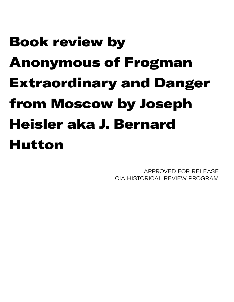## Book review by Anonymous of Frogman Extraordinary and Danger from Moscow by Joseph Heisler aka J. Bernard Hutton

APPROVED FOR RELEASE CIA HISTORICAL REVIEW PROGRAM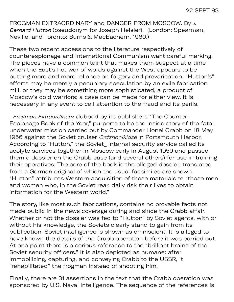FROGMAN EXTRAORDINARY and DANGER FROM MOSCOW. By J. Bernard Hutton (pseudonym for Joseph Heisler). (London: Spearman, Neville; and Toronto: Burns & MacEachern. 1960.)

These two recent accessions to the literature respectively of counterespionage and international Communism want careful marking. The pieces have a common taint that makes them suspect at a time when the East's hot war of words against the West appears to be putting more and more reliance on forgery and prevarication. "Hutton's" efforts may be merely a pecuniary speculation by an exile fabrication mill, or they may be something more sophisticated, a product of Moscow's cold warriors; a case can be made for either view. It is necessary in any event to call attention to the fraud and its perils.

 Frogman Extraordinary, dubbed by its publishers "The Counter-Espionage Book of the Year," purports to be the inside story of the fatal underwater mission carried out by Commander Lionel Crabb on 18 May 1956 against the Soviet cruiser Ordzhonikidze in Portsmouth Harbor. According to "Hutton," the Soviet\_ internal security service called its acolyte services together in Moscow early in August 1959 and passed them a dossier on the Crabb case (and several others) for use in training their operatives. The core of the book is the alleged dossier, translated from a German original of which the usual facsimiles are shown. "Hutton" attributes Western acquisition of these materials to "those men and women who, in the Soviet rear, daily risk their lives to obtain information for the Western world."

The story, like most such fabrications, contains no provable facts not made public in the news coverage during and since the Crabb affair. Whether or not the dossier was fed to "Hutton" by Soviet agents, with or without his knowledge, the Soviets clearly stand to gain from its publication. Soviet intelligence is shown as omniscient. It is alleged to have known the details of the Crabb operation before it was carried out. At one point there is a serious reference to the "brilliant brains of the Soviet security officers." It is also depicted as humane: after immobilizing, capturing, and conveying Crabb to the USSR, it "rehabilitated" the frogman instead of shooting him.

Finally, there are 31 assertions in the text that the Crabb operation was sponsored by U.S. Naval Intelligence. The sequence of the references is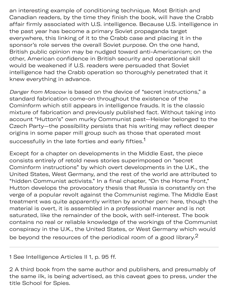an interesting example of conditioning technique. Most British and Canadian readers, by the time they finish the book, will have the Crabb affair firmly associated with U.S. intelligence. Because U.S. intelligence in the past year has become a primary Soviet propaganda target everywhere, this linking of it to the Crabb case and placing it in the sponsor's role serves the overall Soviet purpose. On the one hand, British public opinion may be nudged toward anti-Americanism; on the other, American confidence in British security and operational skill would be weakened if U.S. readers were persuaded that Soviet intelligence had the Crabb operation so thoroughly penetrated that it knew everything in advance.

Danger from Moscow is based on the device of "secret instructions," a standard fabrication come-on throughout the existence of the Cominform which still appears in intelligence frauds. It is the classic mixture of fabrication and previously published fact. Without taking into account "Hutton's" own murky Communist past—Heisler belonged to the Czech Party—the possibility persists that his writing may reflect deeper origins in some paper mill group such as those that operated most successfully in the late forties and early fifties.<sup>1</sup>

Except for a chapter on developments in the Middle East, the piece consists entirely of retold news stories superimposed on "secret Cominform instructions" by which overt developments in the U.K., the United States, West Germany, and the rest of the world are attributed to "hidden Communist activists." In a final chapter, "On the Home Front," Hutton develops the provocatory thesis that Russia is constantly on the verge of a popular revolt against the Communist regime. The Middle East treatment was quite apparently written by another pen: here, though the material is overt, it is assembled in a professional manner and is not saturated, like the remainder of the book, with self-interest. The book contains no real or reliable knowledge of the workings of the Communist conspiracy in the U.K., the United States, or West Germany which would be beyond the resources of the periodical room of a good library. $2$ 

1 See Intelligence Articles II 1, p. 95 ff.

2 A third book from the same author and publishers, and presumably of the same ilk, is being advertised, as this caveat goes to press, under the title School for Spies.